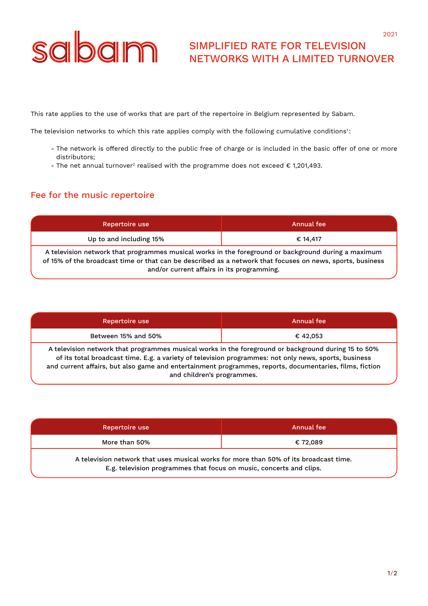# sabam

## SIMPLIFIED RATE FOR TELEVISION NETWORKS WITH A LIMITED TURNOVER

This rate applies to the use of works that are part of the repertoire in Belgium represented by Sabam.

The television networks to which this rate applies comply with the following cumulative conditions<sup>1</sup>:

- The network is offered directly to the public free of charge or is included in the basic offer of one or more distributors;
- The net annual turnover<sup>2</sup> realised with the programme does not exceed  $\epsilon$  1,201,493.

### Fee for the music repertoire

| Repertoire use                                                                                                                                                                                                                                                 | Annual fee |  |
|----------------------------------------------------------------------------------------------------------------------------------------------------------------------------------------------------------------------------------------------------------------|------------|--|
| Up to and including 15%                                                                                                                                                                                                                                        | € 14,417   |  |
| A television network that programmes musical works in the foreground or background during a maximum<br>of 15% of the broadcast time or that can be described as a network that focuses on news, sports, business<br>and/or current affairs in its programming. |            |  |

| Repertoire use                                                                                                                                                                                                                                                                                                                                        | Annual fee |  |
|-------------------------------------------------------------------------------------------------------------------------------------------------------------------------------------------------------------------------------------------------------------------------------------------------------------------------------------------------------|------------|--|
| Between 15% and 50%                                                                                                                                                                                                                                                                                                                                   | €42.053    |  |
| A television network that programmes musical works in the foreground or background during 15 to 50%<br>of its total broadcast time. E.g. a variety of television programmes: not only news, sports, business<br>and current affairs, but also game and entertainment programmes, reports, documentaries, films, fiction<br>and children's programmes. |            |  |

| Repertoire use                                                                        | Annual fee |  |
|---------------------------------------------------------------------------------------|------------|--|
| More than 50%                                                                         | € 72.089   |  |
| A television network that uses musical works for more than 50% of its broadcast time. |            |  |

E.g. television programmes that focus on music, concerts and clips.